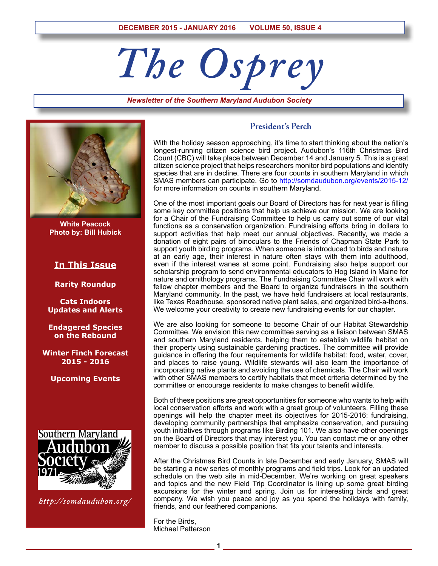# *The Osprey*

*Newsletter of the Southern Maryland Audubon Society*



**White Peacock Photo by: Bill Hubick**

## **In This Issue**

**Rarity Roundup**

**Cats Indoors Updates and Alerts**

**Endagered Species on the Rebound**

**Winter Finch Forecast 2015 - 2016**

**Upcoming Events**



*http://somdaudubon.org/*

### **President's Perch**

With the holiday season approaching, it's time to start thinking about the nation's longest-running citizen science bird project. Audubon's 116th Christmas Bird Count (CBC) will take place between December 14 and January 5. This is a great citizen science project that helps researchers monitor bird populations and identify species that are in decline. There are four counts in southern Maryland in which SMAS members can participate. Go to http://somdaudubon.org/events/2015-12/ for more information on counts in southern Maryland.

One of the most important goals our Board of Directors has for next year is filling some key committee positions that help us achieve our mission. We are looking for a Chair of the Fundraising Committee to help us carry out some of our vital functions as a conservation organization. Fundraising efforts bring in dollars to support activities that help meet our annual objectives. Recently, we made a donation of eight pairs of binoculars to the Friends of Chapman State Park to support youth birding programs. When someone is introduced to birds and nature at an early age, their interest in nature often stays with them into adulthood, even if the interest wanes at some point. Fundraising also helps support our scholarship program to send environmental educators to Hog Island in Maine for nature and ornithology programs. The Fundraising Committee Chair will work with fellow chapter members and the Board to organize fundraisers in the southern Maryland community. In the past, we have held fundraisers at local restaurants, like Texas Roadhouse, sponsored native plant sales, and organized bird-a-thons. We welcome your creativity to create new fundraising events for our chapter.

We are also looking for someone to become Chair of our Habitat Stewardship Committee. We envision this new committee serving as a liaison between SMAS and southern Maryland residents, helping them to establish wildlife habitat on their property using sustainable gardening practices. The committee will provide guidance in offering the four requirements for wildlife habitat: food, water, cover, and places to raise young. Wildlife stewards will also learn the importance of incorporating native plants and avoiding the use of chemicals. The Chair will work with other SMAS members to certify habitats that meet criteria determined by the committee or encourage residents to make changes to benefit wildlife.

Both of these positions are great opportunities for someone who wants to help with local conservation efforts and work with a great group of volunteers. Filling these openings will help the chapter meet its objectives for 2015-2016: fundraising, developing community partnerships that emphasize conservation, and pursuing youth initiatives through programs like Birding 101. We also have other openings on the Board of Directors that may interest you. You can contact me or any other member to discuss a possible position that fits your talents and interests.

After the Christmas Bird Counts in late December and early January, SMAS will be starting a new series of monthly programs and field trips. Look for an updated schedule on the web site in mid-December. We're working on great speakers and topics and the new Field Trip Coordinator is lining up some great birding excursions for the winter and spring. Join us for interesting birds and great company. We wish you peace and joy as you spend the holidays with family, friends, and our feathered companions.

For the Birds, Michael Patterson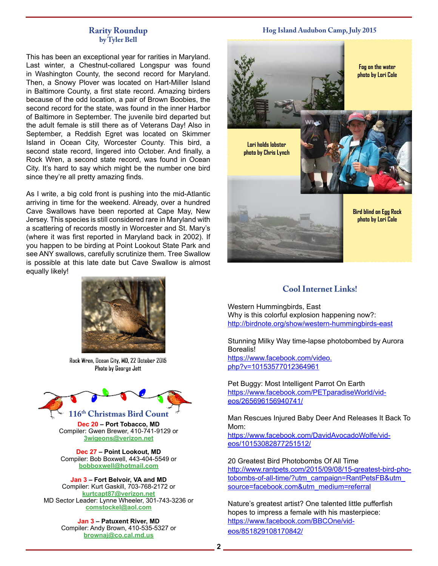#### **Rarity Roundup by Tyler Bell**

This has been an exceptional year for rarities in Maryland. Last winter, a Chestnut-collared Longspur was found in Washington County, the second record for Maryland. Then, a Snowy Plover was located on Hart-Miller Island in Baltimore County, a first state record. Amazing birders because of the odd location, a pair of Brown Boobies, the second record for the state, was found in the inner Harbor of Baltimore in September. The juvenile bird departed but the adult female is still there as of Veterans Day! Also in September, a Reddish Egret was located on Skimmer Island in Ocean City, Worcester County. This bird, a second state record, lingered into October. And finally, a Rock Wren, a second state record, was found in Ocean City. It's hard to say which might be the number one bird since they're all pretty amazing finds.

As I write, a big cold front is pushing into the mid-Atlantic arriving in time for the weekend. Already, over a hundred Cave Swallows have been reported at Cape May, New Jersey. This species is still considered rare in Maryland with a scattering of records mostly in Worcester and St. Mary's (where it was first reported in Maryland back in 2002). If you happen to be birding at Point Lookout State Park and see ANY swallows, carefully scrutinize them. Tree Swallow is possible at this late date but Cave Swallow is almost equally likely!



Rock Wren, Ocean City, MD, 22 October 2015 Photo by George Jett



**Dec 20 – Port Tobacco, MD** Compiler: Gwen Brewer, 410-741-9129 or **3wigeons@verizon.net**

**Dec 27 – Point Lookout, MD** Compiler: Bob Boxwell, 443-404-5549 or **bobboxwell@hotmail.com**

**Jan 3 – Fort Belvoir, VA and MD** Compiler: Kurt Gaskill, 703-768-2172 or **kurtcapt87@verizon.net** MD Sector Leader: Lynne Wheeler, 301-743-3236 or **comstockel@aol.com**

> **Jan 3 – Patuxent River, MD** Compiler: Andy Brown, 410-535-5327 or **brownaj@co.cal.md.us**

#### **Hog Island Audubon Camp, July 2015**



# **Cool Internet Links!**

Western Hummingbirds, East Why is this colorful explosion happening now?: http://birdnote.org/show/western-hummingbirds-east

Stunning Milky Way time-lapse photobombed by Aurora Borealis!

https://www.facebook.com/video. php?v=10153577012364961

Pet Buggy: Most Intelligent Parrot On Earth https://www.facebook.com/PETparadiseWorld/videos/265696156940741/

Man Rescues Injured Baby Deer And Releases It Back To Mom:

https://www.facebook.com/DavidAvocadoWolfe/videos/10153082877251512/

20 Greatest Bird Photobombs Of All Time http://www.rantpets.com/2015/09/08/15-greatest-bird-photobombs-of-all-time/?utm\_campaign=RantPetsFB&utm\_ source=facebook.com&utm\_medium=referral

Nature's greatest artist? One talented little pufferfish hopes to impress a female with his masterpiece: https://www.facebook.com/BBCOne/videos/851829108170842/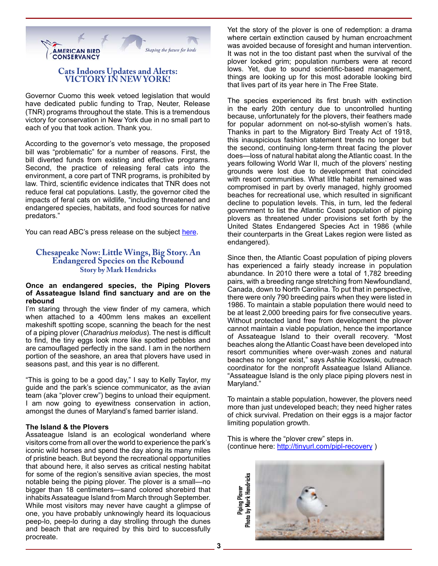

#### **Cats Indoors Updates and Alerts: VICTORY IN NEW YORK!**

Governor Cuomo this week vetoed legislation that would have dedicated public funding to Trap, Neuter, Release (TNR) programs throughout the state. This is a tremendous victory for conservation in New York due in no small part to each of you that took action. Thank you.

According to the governor's veto message, the proposed bill was "problematic" for a number of reasons. First, the bill diverted funds from existing and effective programs. Second, the practice of releasing feral cats into the environment, a core part of TNR programs, is prohibited by law. Third, scientific evidence indicates that TNR does not reduce feral cat populations. Lastly, the governor cited the impacts of feral cats on wildlife, "including threatened and endangered species, habitats, and food sources for native predators."

You can read ABC's press release on the subject [here.](http://abcbirds.org/article/new-york-governor-vetoes-feral-cat-bill-protects-wildlife/)

#### **Chesapeake Now: Little Wings, Big Story. An Endangered Species on the Rebound Story by Mark Hendricks**

#### **Once an endangered species, the Piping Plovers of Assateague Island find sanctuary and are on the rebound**

I'm staring through the view finder of my camera, which when attached to a 400mm lens makes an excellent makeshift spotting scope, scanning the beach for the nest of a piping plover (*Charadrius melodus*). The nest is difficult to find, the tiny eggs look more like spotted pebbles and are camouflaged perfectly in the sand. I am in the northern portion of the seashore, an area that plovers have used in seasons past, and this year is no different.

"This is going to be a good day," I say to Kelly Taylor, my guide and the park's science communicator, as the avian team (aka "plover crew") begins to unload their equipment. I am now going to eyewitness conservation in action, amongst the dunes of Maryland's famed barrier island.

#### **The Island & the Plovers**

Assateague Island is an ecological wonderland where visitors come from all over the world to experience the park's iconic wild horses and spend the day along its many miles of pristine beach. But beyond the recreational opportunities that abound here, it also serves as critical nesting habitat for some of the region's sensitive avian species, the most notable being the piping plover. The plover is a small—no bigger than 18 centimeters—sand colored shorebird that inhabits Assateague Island from March through September. While most visitors may never have caught a glimpse of one, you have probably unknowingly heard its loquacious peep-lo, peep-lo during a day strolling through the dunes and beach that are required by this bird to successfully procreate.

Yet the story of the plover is one of redemption: a drama where certain extinction caused by human encroachment was avoided because of foresight and human intervention. It was not in the too distant past when the survival of the plover looked grim; population numbers were at record lows. Yet, due to sound scientific-based management, things are looking up for this most adorable looking bird that lives part of its year here in The Free State.

The species experienced its first brush with extinction in the early 20th century due to uncontrolled hunting because, unfortunately for the plovers, their feathers made for popular adornment on not-so-stylish women's hats. Thanks in part to the Migratory Bird Treaty Act of 1918, this inauspicious fashion statement trends no longer but the second, continuing long-term threat facing the plover does—loss of natural habitat along the Atlantic coast. In the years following World War II, much of the plovers' nesting grounds were lost due to development that coincided with resort communities. What little habitat remained was compromised in part by overly managed, highly groomed beaches for recreational use, which resulted in significant decline to population levels. This, in turn, led the federal government to list the Atlantic Coast population of piping plovers as threatened under provisions set forth by the United States Endangered Species Act in 1986 (while their counterparts in the Great Lakes region were listed as endangered).

Since then, the Atlantic Coast population of piping plovers has experienced a fairly steady increase in population abundance. In 2010 there were a total of 1,782 breeding pairs, with a breeding range stretching from Newfoundland, Canada, down to North Carolina. To put that in perspective, there were only 790 breeding pairs when they were listed in 1986. To maintain a stable population there would need to be at least 2,000 breeding pairs for five consecutive years. Without protected land free from development the plover cannot maintain a viable population, hence the importance of Assateague Island to their overall recovery. "Most beaches along the Atlantic Coast have been developed into resort communities where over-wash zones and natural beaches no longer exist," says Ashlie Kozlowski, outreach coordinator for the nonprofit Assateague Island Alliance. "Assateague Island is the only place piping plovers nest in Maryland."

To maintain a stable population, however, the plovers need more than just undeveloped beach; they need higher rates of chick survival. Predation on their eggs is a major factor limiting population growth.

This is where the "plover crew" steps in. (continue here: http://tinyurl.com/pipl-recovery )

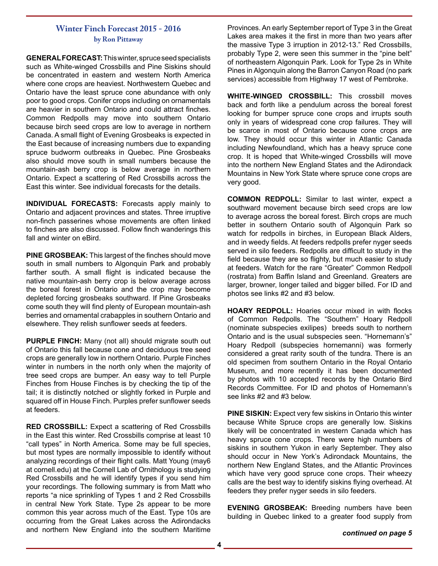## **Winter Finch Forecast 2015 - 2016 by Ron Pittaway**

**GENERAL FORECAST:** This winter, spruce seed specialists such as White-winged Crossbills and Pine Siskins should be concentrated in eastern and western North America where cone crops are heaviest. Northwestern Quebec and Ontario have the least spruce cone abundance with only poor to good crops. Conifer crops including on ornamentals are heavier in southern Ontario and could attract finches. Common Redpolls may move into southern Ontario because birch seed crops are low to average in northern Canada. A small flight of Evening Grosbeaks is expected in the East because of increasing numbers due to expanding spruce budworm outbreaks in Quebec. Pine Grosbeaks also should move south in small numbers because the mountain-ash berry crop is below average in northern Ontario. Expect a scattering of Red Crossbills across the East this winter. See individual forecasts for the details.

**INDIVIDUAL FORECASTS:** Forecasts apply mainly to Ontario and adjacent provinces and states. Three irruptive non-finch passerines whose movements are often linked to finches are also discussed. Follow finch wanderings this fall and winter on eBird.

**PINE GROSBEAK:** This largest of the finches should move south in small numbers to Algonquin Park and probably farther south. A small flight is indicated because the native mountain-ash berry crop is below average across the boreal forest in Ontario and the crop may become depleted forcing grosbeaks southward. If Pine Grosbeaks come south they will find plenty of European mountain-ash berries and ornamental crabapples in southern Ontario and elsewhere. They relish sunflower seeds at feeders.

**PURPLE FINCH:** Many (not all) should migrate south out of Ontario this fall because cone and deciduous tree seed crops are generally low in northern Ontario. Purple Finches winter in numbers in the north only when the majority of tree seed crops are bumper. An easy way to tell Purple Finches from House Finches is by checking the tip of the tail; it is distinctly notched or slightly forked in Purple and squared off in House Finch. Purples prefer sunflower seeds at feeders.

**RED CROSSBILL:** Expect a scattering of Red Crossbills in the East this winter. Red Crossbills comprise at least 10 "call types" in North America. Some may be full species, but most types are normally impossible to identify without analyzing recordings of their flight calls. Matt Young (may6 at cornell.edu) at the Cornell Lab of Ornithology is studying Red Crossbills and he will identify types if you send him your recordings. The following summary is from Matt who reports "a nice sprinkling of Types 1 and 2 Red Crossbills in central New York State. Type 2s appear to be more common this year across much of the East. Type 10s are occurring from the Great Lakes across the Adirondacks and northern New England into the southern Maritime

Provinces. An early September report of Type 3 in the Great Lakes area makes it the first in more than two years after the massive Type 3 irruption in 2012-13." Red Crossbills, probably Type 2, were seen this summer in the "pine belt" of northeastern Algonquin Park. Look for Type 2s in White Pines in Algonquin along the Barron Canyon Road (no park services) accessible from Highway 17 west of Pembroke.

**WHITE-WINGED CROSSBILL:** This crossbill moves back and forth like a pendulum across the boreal forest looking for bumper spruce cone crops and irrupts south only in years of widespread cone crop failures. They will be scarce in most of Ontario because cone crops are low. They should occur this winter in Atlantic Canada including Newfoundland, which has a heavy spruce cone crop. It is hoped that White-winged Crossbills will move into the northern New England States and the Adirondack Mountains in New York State where spruce cone crops are very good.

**COMMON REDPOLL:** Similar to last winter, expect a southward movement because birch seed crops are low to average across the boreal forest. Birch crops are much better in southern Ontario south of Algonquin Park so watch for redpolls in birches, in European Black Alders, and in weedy fields. At feeders redpolls prefer nyger seeds served in silo feeders. Redpolls are difficult to study in the field because they are so flighty, but much easier to study at feeders. Watch for the rare "Greater" Common Redpoll (rostrata) from Baffin Island and Greenland. Greaters are larger, browner, longer tailed and bigger billed. For ID and photos see links #2 and #3 below.

**HOARY REDPOLL:** Hoaries occur mixed in with flocks of Common Redpolls. The "Southern" Hoary Redpoll (nominate subspecies exilipes) breeds south to northern Ontario and is the usual subspecies seen. "Hornemann's" Hoary Redpoll (subspecies hornemanni) was formerly considered a great rarity south of the tundra. There is an old specimen from southern Ontario in the Royal Ontario Museum, and more recently it has been documented by photos with 10 accepted records by the Ontario Bird Records Committee. For ID and photos of Hornemann's see links #2 and #3 below.

**PINE SISKIN:** Expect very few siskins in Ontario this winter because White Spruce crops are generally low. Siskins likely will be concentrated in western Canada which has heavy spruce cone crops. There were high numbers of siskins in southern Yukon in early September. They also should occur in New York's Adirondack Mountains, the northern New England States, and the Atlantic Provinces which have very good spruce cone crops. Their wheezy calls are the best way to identify siskins flying overhead. At feeders they prefer nyger seeds in silo feeders.

**EVENING GROSBEAK:** Breeding numbers have been building in Quebec linked to a greater food supply from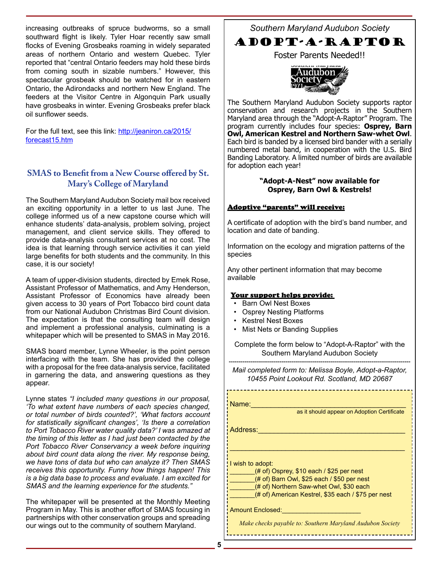increasing outbreaks of spruce budworms, so a small southward flight is likely. Tyler Hoar recently saw small flocks of Evening Grosbeaks roaming in widely separated areas of northern Ontario and western Quebec. Tyler reported that "central Ontario feeders may hold these birds from coming south in sizable numbers." However, this spectacular grosbeak should be watched for in eastern Ontario, the Adirondacks and northern New England. The feeders at the Visitor Centre in Algonquin Park usually have grosbeaks in winter. Evening Grosbeaks prefer black oil sunflower seeds.

For the full text, see this link: http://jeaniron.ca/2015/ forecast15.htm

# **SMAS to Benefit from a New Course offered by St. Mary's College of Maryland**

The Southern Maryland Audubon Society mail box received an exciting opportunity in a letter to us last June. The college informed us of a new capstone course which will enhance students' data-analysis, problem solving, project management, and client service skills. They offered to provide data-analysis consultant services at no cost. The idea is that learning through service activities it can yield large benefits for both students and the community. In this case, it is our society!

A team of upper-division students, directed by Emek Rose, Assistant Professor of Mathematics, and Amy Henderson, Assistant Professor of Economics have already been given access to 30 years of Port Tobacco bird count data from our National Audubon Christmas Bird Count division. The expectation is that the consulting team will design and implement a professional analysis, culminating is a whitepaper which will be presented to SMAS in May 2016.

SMAS board member, Lynne Wheeler, is the point person interfacing with the team. She has provided the college with a proposal for the free data-analysis service, facilitated in garnering the data, and answering questions as they appear.

Lynne states *"I included many questions in our proposal, 'To what extent have numbers of each species changed, or total number of birds counted?', 'What factors account for statistically significant changes', 'Is there a correlation to Port Tobacco River water quality data?' I was amazed at the timing of this letter as I had just been contacted by the Port Tobacco River Conservancy a week before inquiring about bird count data along the river. My response being, we have tons of data but who can analyze it? Then SMAS receives this opportunity. Funny how things happen! This is a big data base to process and evaluate. I am excited for SMAS and the learning experience for the students."*

The whitepaper will be presented at the Monthly Meeting Program in May. This is another effort of SMAS focusing in partnerships with other conservation groups and spreading our wings out to the community of southern Maryland.

*Southern Maryland Audubon Society*

# ADOPT-A-RAPTOR

Foster Parents Needed!!



The Southern Maryland Audubon Society supports raptor conservation and research projects in the Southern Maryland area through the "Adopt-A-Raptor" Program. The program currently includes four species: **Osprey, Barn Owl, American Kestrel and Northern Saw-whet Owl**. Each bird is banded by a licensed bird bander with a serially numbered metal band, in cooperation with the U.S. Bird Banding Laboratory. A limited number of birds are available for adoption each year!

#### **"Adopt-A-Nest" now available for Osprey, Barn Owl & Kestrels!**

#### Adoptive "parents" will receive:

A certificate of adoption with the bird's band number, and location and date of banding.

Information on the ecology and migration patterns of the species

Any other pertinent information that may become available

#### Your support helps provide:

- Barn Owl Nest Boxes
- Osprey Nesting Platforms
- Kestrel Nest Boxes
- Mist Nets or Banding Supplies

Complete the form below to "Adopt-A-Raptor" with the Southern Maryland Audubon Society

--------------------------------------------------------------------------------------------- *Mail completed form to: Melissa Boyle, Adopt-a-Raptor, 10455 Point Lookout Rd. Scotland, MD 20687*

Name:\_\_\_\_\_\_\_\_\_\_\_\_\_\_\_\_\_\_\_\_\_\_\_\_\_\_\_\_\_\_\_\_\_\_\_\_\_\_\_

as it should appear on Adoption Certificate

Address:

I wish to adopt:

 $($ # of) Osprey, \$10 each / \$25 per nest

(# of) Barn Owl, \$25 each / \$50 per nest

(# of) Northern Saw-whet Owl, \$30 each

(# of) American Kestrel, \$35 each / \$75 per nest

\_\_\_\_\_\_\_\_\_\_\_\_\_\_\_\_\_\_\_\_\_\_\_\_\_\_\_\_\_\_\_\_\_\_\_\_\_\_\_\_\_\_\_\_

Amount Enclosed:

*Make checks payable to: Southern Maryland Audubon Society*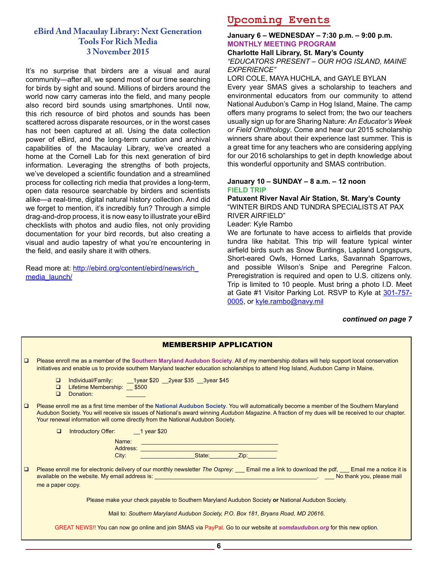# **eBird And Macaulay Library: Next Generation Tools For Rich Media 3 November 2015**

It's no surprise that birders are a visual and aural community—after all, we spend most of our time searching for birds by sight and sound. Millions of birders around the world now carry cameras into the field, and many people also record bird sounds using smartphones. Until now, this rich resource of bird photos and sounds has been scattered across disparate resources, or in the worst cases has not been captured at all. Using the data collection power of eBird, and the long-term curation and archival capabilities of the Macaulay Library, we've created a home at the Cornell Lab for this next generation of bird information. Leveraging the strengths of both projects, we've developed a scientific foundation and a streamlined process for collecting rich media that provides a long-term, open data resource searchable by birders and scientists alike—a real-time, digital natural history collection. And did we forget to mention, it's incredibly fun? Through a simple drag-and-drop process, it is now easy to illustrate your eBird checklists with photos and audio files, not only providing documentation for your bird records, but also creating a visual and audio tapestry of what you're encountering in the field, and easily share it with others.

Read more at: http://ebird.org/content/ebird/news/rich\_ media\_launch/

# **Upcoming Events**

#### **January 6 – WEDNESDAY – 7:30 p.m. – 9:00 p.m. MONTHLY MEETING PROGRAM**

#### **Charlotte Hall Library, St. Mary's County** *"EDUCATORS PRESENT – OUR HOG ISLAND, MAINE EXPERIENCE"*

LORI COLE, MAYA HUCHLA, and GAYLE BYLAN

Every year SMAS gives a scholarship to teachers and environmental educators from our community to attend National Audubon's Camp in Hog Island, Maine. The camp offers many programs to select from; the two our teachers usually sign up for are Sharing Nature: *An Educator's Week or Field Ornithology*. Come and hear our 2015 scholarship winners share about their experience last summer. This is a great time for any teachers who are considering applying for our 2016 scholarships to get in depth knowledge about this wonderful opportunity and SMAS contribution.

#### **January 10 – SUNDAY – 8 a.m. – 12 noon FIELD TRIP**

**Patuxent River Naval Air Station, St. Mary's County** "WINTER BIRDS AND TUNDRA SPECIALISTS AT PAX RIVER AIRFIELD"

Leader: Kyle Rambo

We are fortunate to have access to airfields that provide tundra like habitat. This trip will feature typical winter airfield birds such as Snow Buntings, Lapland Longspurs, Short-eared Owls, Horned Larks, Savannah Sparrows, and possible Wilson's Snipe and Peregrine Falcon. Preregistration is required and open to U.S. citizens only. Trip is limited to 10 people. Must bring a photo I.D. Meet at Gate #1 Visitor Parking Lot. RSVP to Kyle at 301-757- 0005, or kyle.rambo@navy.mil

#### *continued on page 7*

|        | <b>MEMBERSHIP APPLICATION</b>                                                                                                                                                                                                                                                                                                                                                                                   |
|--------|-----------------------------------------------------------------------------------------------------------------------------------------------------------------------------------------------------------------------------------------------------------------------------------------------------------------------------------------------------------------------------------------------------------------|
| $\Box$ | Please enroll me as a member of the Southern Maryland Audubon Society. All of my membership dollars will help support local conservation<br>initiatives and enable us to provide southern Maryland teacher education scholarships to attend Hog Island, Audubon Camp in Maine.                                                                                                                                  |
|        | Individual/Family: 1year \$20 2year \$35 3year \$45<br>$\Box$<br>Lifetime Membership: 5500<br>$\Box$<br>Donation:<br>$\Box$                                                                                                                                                                                                                                                                                     |
| $\Box$ | Please enroll me as a first time member of the National Audubon Society. You will automatically become a member of the Southern Maryland<br>Audubon Society. You will receive six issues of National's award winning Audubon Magazine. A fraction of my dues will be received to our chapter.<br>Your renewal information will come directly from the National Audubon Society.                                 |
|        | Introductory Offer: 1 year \$20<br>$\Box$                                                                                                                                                                                                                                                                                                                                                                       |
|        | Name:                                                                                                                                                                                                                                                                                                                                                                                                           |
|        | State:<br>Zip: The Contract of the Contract of the Contract of the Contract of the Contract of the Contract of the Contract of the Contract of the Contract of the Contract of the Contract of the Contract of the Contract of the Contr<br>City:                                                                                                                                                               |
| $\Box$ | Please enroll me for electronic delivery of our monthly newsletter The Osprey: ___ Email me a link to download the pdf, ___ Email me a notice it is<br>available on the website. My email address is: <b>All and According the Contract Contract Contract Contract Contract Contract Contract Contract Contract Contract Contract Contract Contract Contract Contract Contract Contract</b><br>me a paper copy. |
|        | Please make your check payable to Southern Maryland Audubon Society or National Audubon Society.                                                                                                                                                                                                                                                                                                                |
|        | Mail to: Southern Maryland Audubon Society, P.O. Box 181, Bryans Road, MD 20616.                                                                                                                                                                                                                                                                                                                                |
|        | GREAT NEWS!! You can now go online and join SMAS via PayPal. Go to our website at somdaudubon.org for this new option.                                                                                                                                                                                                                                                                                          |